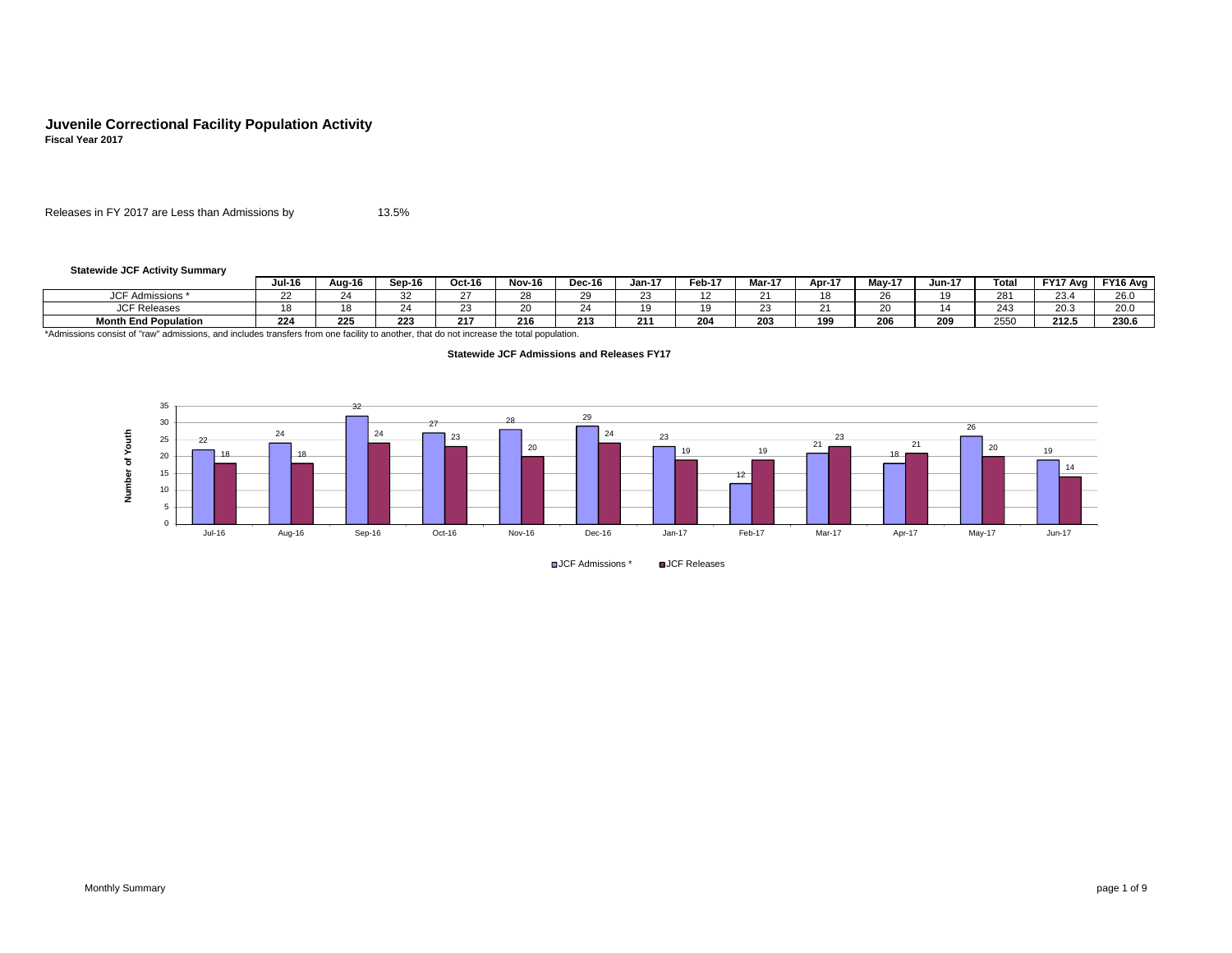# **Juvenile Correctional Facility Population Activity Fiscal Year 2017**

Releases in FY 2017 are Less than Admissions by 13.5% $\%$ 

#### **Statewide JCF Activity Summary**

|                                 | <b>Jul-16</b>       | Aua-16 | Sep-16 | Oct-16 | <b>Nov-16</b> | Dec-16 | $Jan-17$   | Feb-17                   | Mar-17 | Apr-17 | Mav-17 | Jun-17         | Tota       | FY17 Avg       | FY16 Avg              |
|---------------------------------|---------------------|--------|--------|--------|---------------|--------|------------|--------------------------|--------|--------|--------|----------------|------------|----------------|-----------------------|
| $n - n$<br>Admissions<br>- Aui. | $\sim$<br><u>__</u> |        | ےں     |        |               |        | نت         | $\overline{\phantom{a}}$ |        |        | $\sim$ | $\overline{A}$ | 281        | ົ              | $\sim$ $\sim$<br>∠o.∪ |
| ' <sup>∩⊏</sup> Releases        | $\sqrt{2}$          |        | ~      |        |               |        | 1 C        | 10                       |        |        | $\sim$ |                | 242<br>24. | $\sim$<br>20.0 | 20.0                  |
| <b>Month End Population</b>     | 224                 | 225    | 223    | 217    | 216           | 213    | 24.<br>2 I | 204                      | 203    | 199    | 206    | $\sim$<br>∠∪y  | 2550       | 212.5          | 230.6                 |

\*Admissions consist of "raw" admissions, and includes transfers from one facility to another, that do not increase the total population.





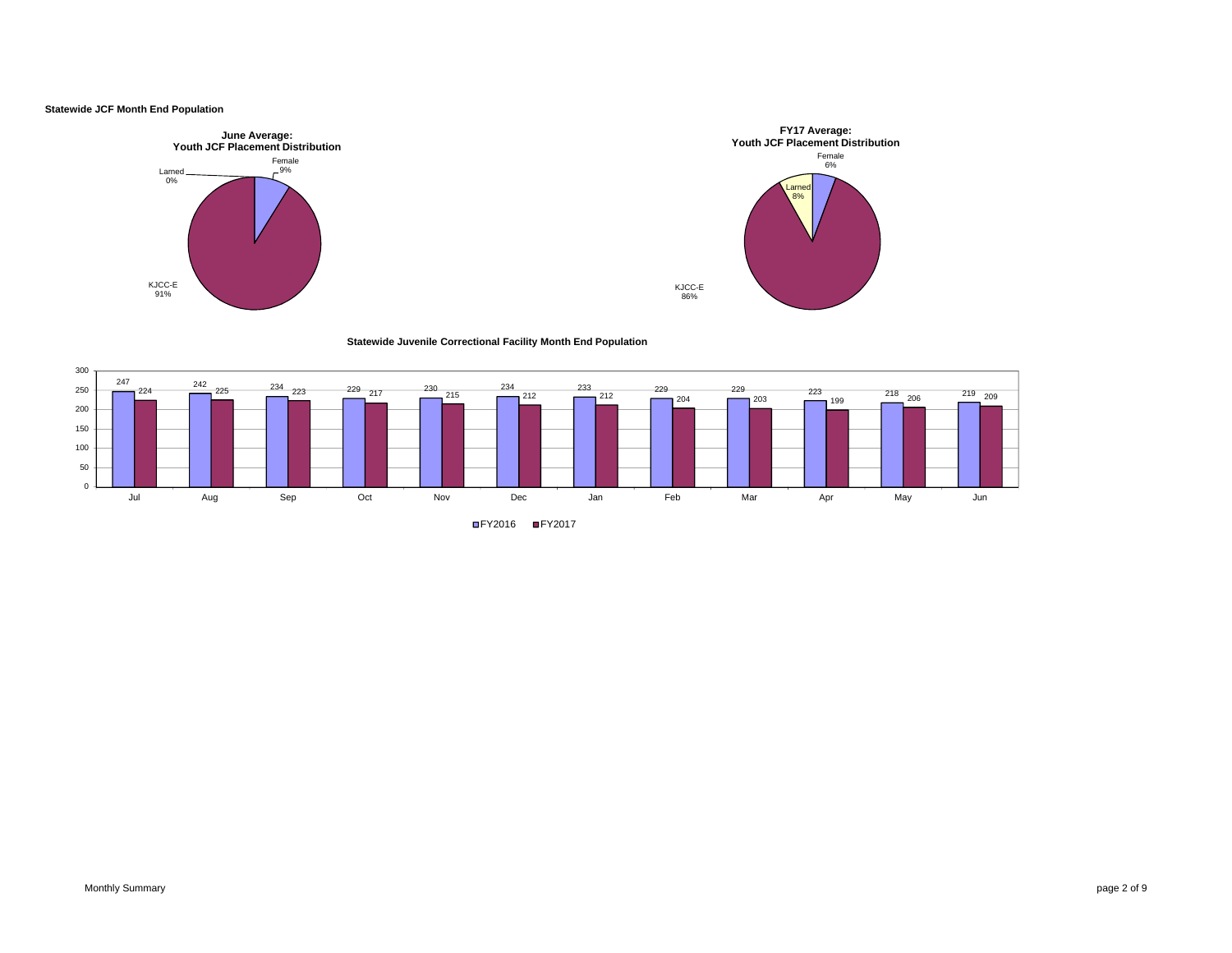## **Statewide JCF Month End Population**

 $150$ 

200250300

 $^{102}$ 

050







**Statewide Juvenile Correctional Facility Month End Population** 



FY2016 FY2017

Jul Aug Sep Oct Nov Dec Jan Feb Mar Apr May Jun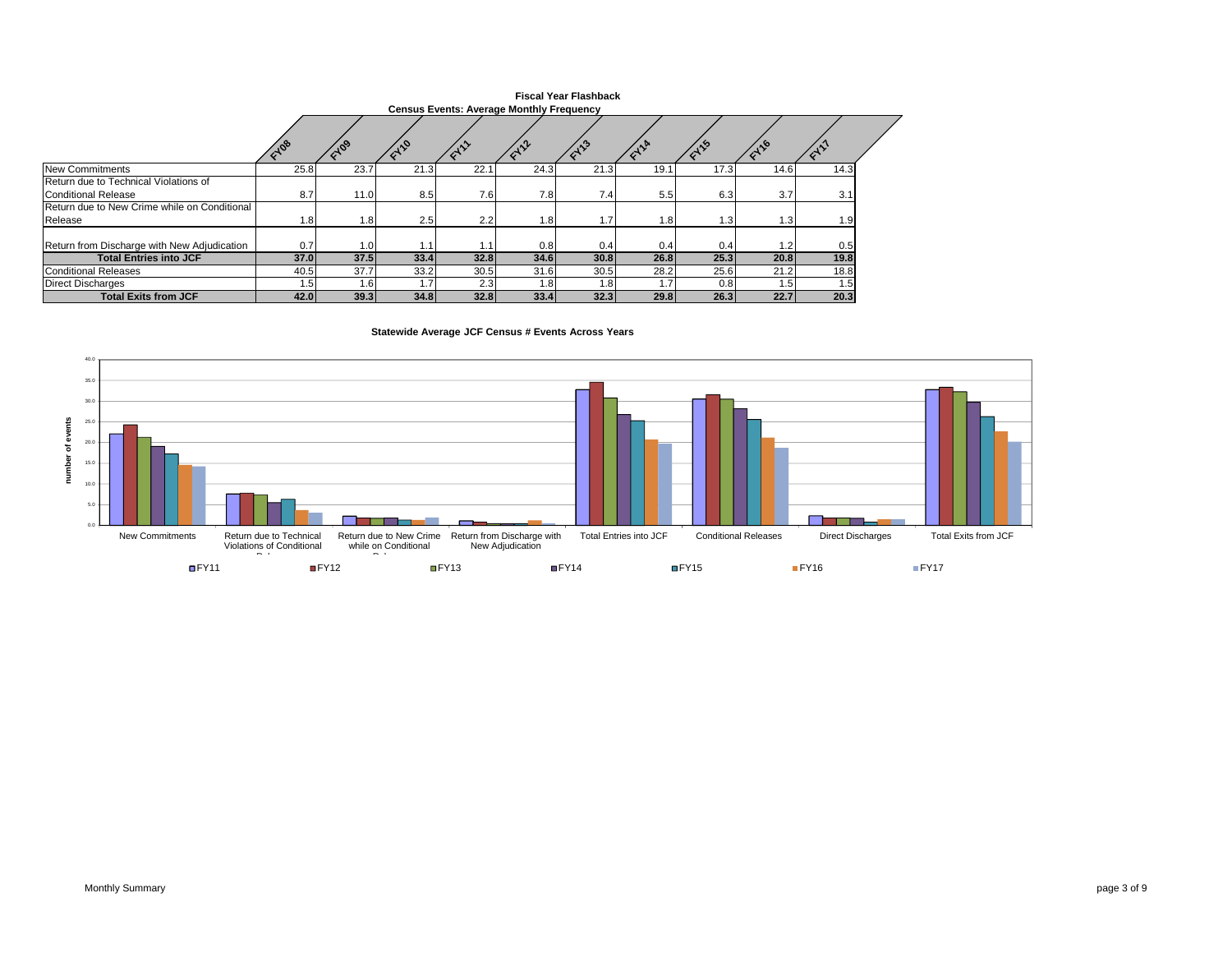|                                                              | <b>Fiscal Year Flashback</b><br><b>Census Events: Average Monthly Frequency</b> |          |      |      |      |      |      |      |      |                  |  |  |  |  |
|--------------------------------------------------------------|---------------------------------------------------------------------------------|----------|------|------|------|------|------|------|------|------------------|--|--|--|--|
|                                                              |                                                                                 |          |      |      |      |      |      |      |      |                  |  |  |  |  |
|                                                              | 10 <sup>6</sup>                                                                 | $10^{9}$ |      |      |      |      |      |      |      |                  |  |  |  |  |
| New Commitments                                              | 25.8                                                                            | 23.7     | 21.3 | 22.1 | 24.3 | 21.3 | 19.1 | 17.3 | 14.6 | 14.3             |  |  |  |  |
| Return due to Technical Violations of<br>Conditional Release | 8.7                                                                             | 11.0     | 8.5  | 7.6  | 7.8  | 7.4  | 5.5  | 6.3  | 3.7  | 3.1              |  |  |  |  |
| Return due to New Crime while on Conditional<br>Release      | 1.81                                                                            | 1.8      | 2.5  | 2.2  | 1.8  | 1.7  | 1.8  | 1.3  | 1.3  | 1.9              |  |  |  |  |
|                                                              |                                                                                 |          |      |      |      |      |      |      |      |                  |  |  |  |  |
| Return from Discharge with New Adjudication                  | 0.7                                                                             | 1.OI     |      | 1.1  | 0.8  | 0.4  | 0.4  | 0.4  | 1.2  | 0.5              |  |  |  |  |
| <b>Total Entries into JCF</b>                                | 37.0                                                                            | 37.5     | 33.4 | 32.8 | 34.6 | 30.8 | 26.8 | 25.3 | 20.8 | 19.8             |  |  |  |  |
| Conditional Releases                                         | 40.5                                                                            | 37.7     | 33.2 | 30.5 | 31.6 | 30.5 | 28.2 | 25.6 | 21.2 | 18.8             |  |  |  |  |
| <b>Direct Discharges</b>                                     | 1.5                                                                             | 1.61     |      | 2.3  | 1.8  | 1.8  | l.7  | 0.8  | 1.5  | 1.5 <sub>1</sub> |  |  |  |  |
| <b>Total Exits from JCF</b>                                  | 42.0                                                                            | 39.3     | 34.8 | 32.8 | 33.4 | 32.3 | 29.8 | 26.3 | 22.7 | 20.3             |  |  |  |  |

**Statewide Average JCF Census # Events Across Years** 

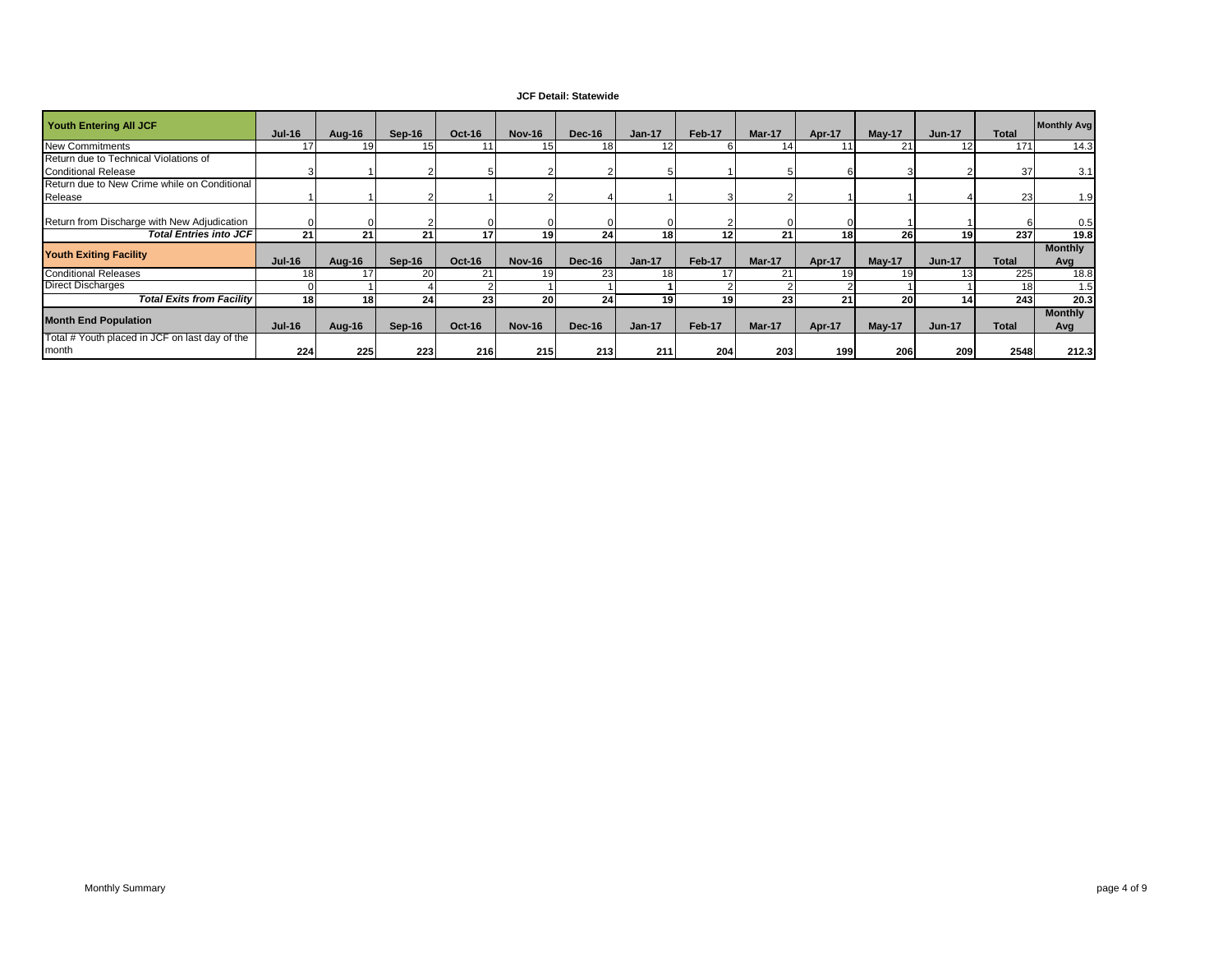# **JCF Detail: Statewide**

| <b>Youth Entering All JCF</b>                           | <b>Jul-16</b> | Aug-16          | Sep-16 | <b>Oct-16</b>   | <b>Nov-16</b> | Dec-16          | $Jan-17$        | Feb-17 | Mar-17          | Apr-17 | <b>May-17</b> | <b>Jun-17</b> | <b>Total</b> | <b>Monthly Avg</b>    |
|---------------------------------------------------------|---------------|-----------------|--------|-----------------|---------------|-----------------|-----------------|--------|-----------------|--------|---------------|---------------|--------------|-----------------------|
| <b>New Commitments</b>                                  |               | 19              | 15     |                 | 15            | 18 <sup>1</sup> | 12              |        |                 |        | 21            |               | 171          | 14.3                  |
| Return due to Technical Violations of                   |               |                 |        |                 |               |                 |                 |        |                 |        |               |               |              |                       |
| <b>Conditional Release</b>                              |               |                 |        |                 |               |                 |                 |        |                 |        |               |               | 37           | 3.1                   |
| Return due to New Crime while on Conditional            |               |                 |        |                 |               |                 |                 |        |                 |        |               |               |              |                       |
| Release                                                 |               |                 |        |                 |               |                 |                 |        |                 |        |               |               | 23           | 1.9                   |
| Return from Discharge with New Adjudication             |               |                 |        |                 |               |                 |                 |        |                 |        |               |               |              | 0.5                   |
| <b>Total Entries into JCF</b>                           | 21            | 21              | 21     | 17              | 19            | 24              | 18 <sup>1</sup> | 12     | 21              | 18     | 26            | 19            | 237          | 19.8                  |
| <b>Youth Exiting Facility</b>                           | <b>Jul-16</b> | Aug-16          | Sep-16 | <b>Oct-16</b>   | <b>Nov-16</b> | Dec-16          | $Jan-17$        | Feb-17 | Mar-17          | Apr-17 | May-17        | <b>Jun-17</b> | Total        | <b>Monthly</b><br>Avg |
| <b>Conditional Releases</b>                             | 18            |                 | 20     | 21              | 19            | 23              | 18              |        |                 |        | 19            |               | 225          | 18.8                  |
| <b>Direct Discharges</b>                                |               |                 |        |                 |               |                 |                 |        |                 |        |               |               | 18           | 1.5                   |
| <b>Total Exits from Facility</b>                        | 18            | 18 <sup>1</sup> | 24     | 23 <sub>l</sub> | 20            | 24              | 19              | 19     | 23 <sub>1</sub> | 21     | 20            |               | 243          | 20.3                  |
| <b>Month End Population</b>                             | <b>Jul-16</b> | Aug-16          | Sep-16 | Oct-16          | <b>Nov-16</b> | Dec-16          | <b>Jan-17</b>   | Feb-17 | Mar-17          | Apr-17 | $May-17$      | <b>Jun-17</b> | <b>Total</b> | <b>Monthly</b><br>Avg |
| Total # Youth placed in JCF on last day of the<br>month | 224           | 225             | 223    | 216             | 215           | 213             | 211             | 204    | 203             | 199    | 206           | 209           | 2548         | 212.3                 |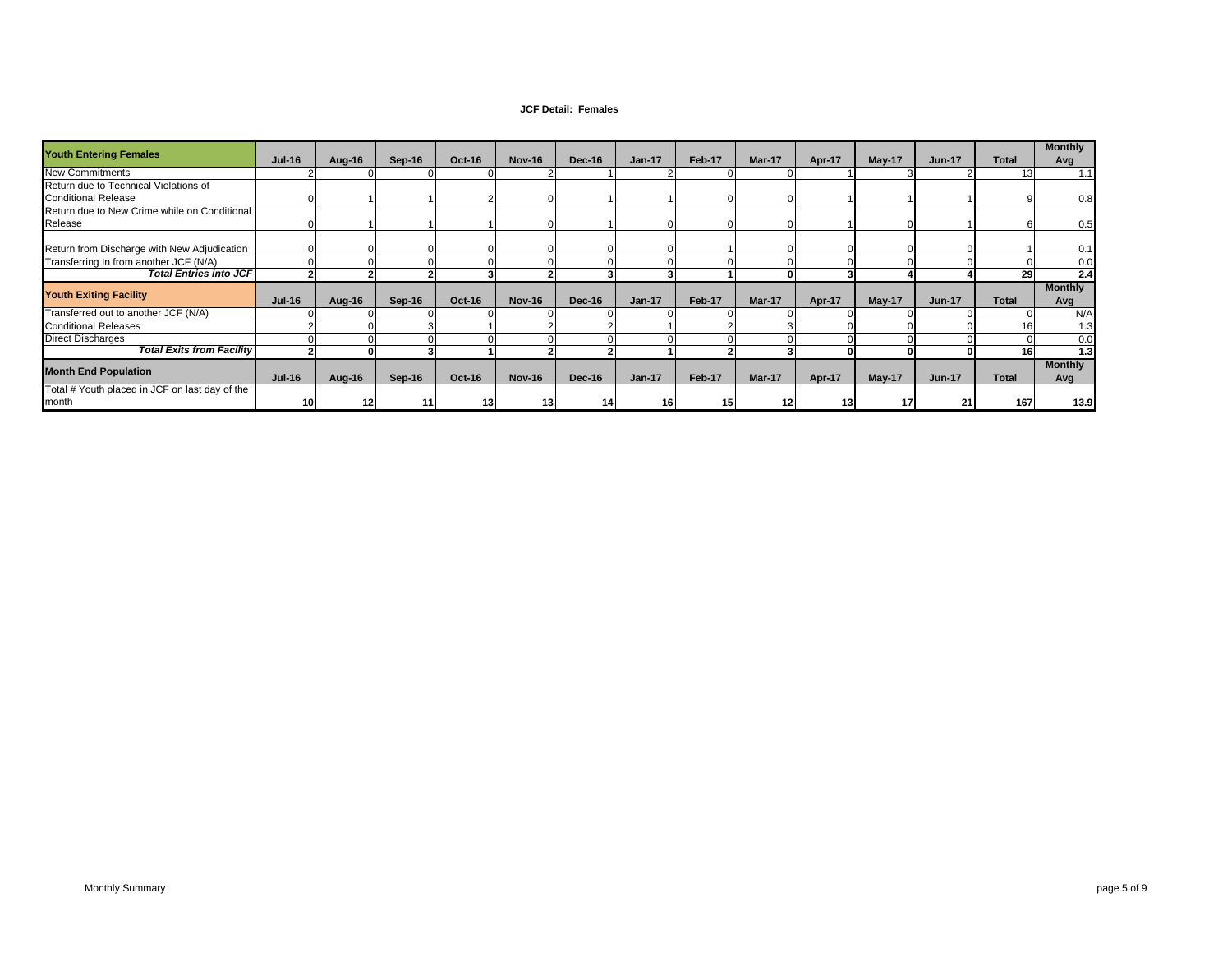#### **JCF Detail: Females**

| <b>Youth Entering Females</b>                  | <b>Jul-16</b> | Aug-16 | Sep-16 | <b>Oct-16</b>   | <b>Nov-16</b> | Dec-16        | $Jan-17$      | Feb-17 | Mar-17 | Apr-17          | <b>May-17</b> | <b>Jun-17</b> | <b>Total</b> | <b>Monthly</b><br>Avg |
|------------------------------------------------|---------------|--------|--------|-----------------|---------------|---------------|---------------|--------|--------|-----------------|---------------|---------------|--------------|-----------------------|
| <b>New Commitments</b>                         |               |        |        |                 |               |               |               |        |        |                 |               |               | 13           | 1.1                   |
| Return due to Technical Violations of          |               |        |        |                 |               |               |               |        |        |                 |               |               |              |                       |
| <b>Conditional Release</b>                     |               |        |        |                 |               |               |               |        |        |                 |               |               |              | 0.8                   |
| Return due to New Crime while on Conditional   |               |        |        |                 |               |               |               |        |        |                 |               |               |              |                       |
| Release                                        |               |        |        |                 |               |               |               |        |        |                 |               |               |              | 0.5                   |
|                                                |               |        |        |                 |               |               |               |        |        |                 |               |               |              |                       |
| Return from Discharge with New Adjudication    |               |        |        |                 |               |               |               |        |        |                 |               |               |              | 0.1                   |
| Transferring In from another JCF (N/A)         |               |        |        |                 |               |               |               |        |        |                 |               |               |              | 0.0                   |
| <b>Total Entries into JCF</b>                  |               |        |        |                 |               |               |               |        |        |                 |               |               | 29           | 2.4                   |
| <b>Youth Exiting Facility</b>                  |               |        |        |                 |               |               |               |        |        |                 |               |               |              | <b>Monthly</b>        |
|                                                | <b>Jul-16</b> | Aug-16 | Sep-16 | Oct-16          | <b>Nov-16</b> | <b>Dec-16</b> | $Jan-17$      | Feb-17 | Mar-17 | Apr-17          | <b>May-17</b> | <b>Jun-17</b> | <b>Total</b> | Avg                   |
| Transferred out to another JCF (N/A)           |               |        |        |                 |               |               |               |        |        |                 |               |               |              | N/A                   |
| <b>Conditional Releases</b>                    |               |        |        |                 |               |               |               |        |        |                 |               |               | 16           | 1.3                   |
| <b>Direct Discharges</b>                       |               |        |        |                 |               |               |               |        |        |                 |               |               |              | 0.0                   |
| <b>Total Exits from Facility</b>               |               |        |        |                 |               |               |               |        |        |                 |               |               | 16           | 1.3                   |
| <b>Month End Population</b>                    |               |        |        |                 |               |               |               |        |        |                 |               |               |              | <b>Monthly</b>        |
|                                                | <b>Jul-16</b> | Aug-16 | Sep-16 | Oct-16          | <b>Nov-16</b> | Dec-16        | <b>Jan-17</b> | Feb-17 | Mar-17 | Apr-17          | $May-17$      | <b>Jun-17</b> | <b>Total</b> | Avg                   |
| Total # Youth placed in JCF on last day of the |               |        |        |                 |               |               |               |        |        |                 |               |               |              |                       |
| month                                          | 10            | 12     | 11     | 13 <sup>1</sup> | 13            | 14            | 16            | 15     | 12     | 13 <sub>1</sub> | 17            | 21            | 167          | 13.9                  |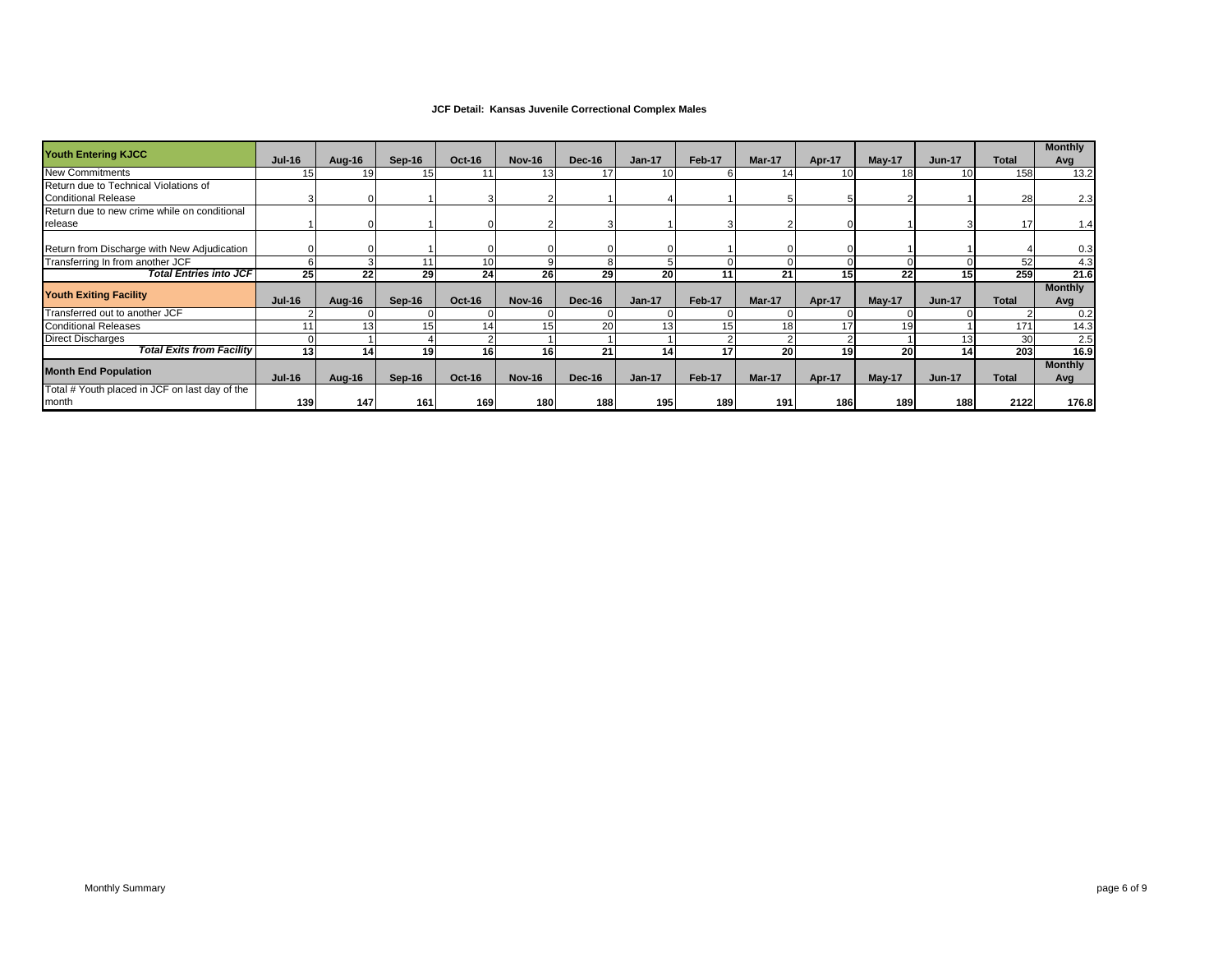## **JCF Detail: Kansas Juvenile Correctional Complex Males**

| <b>Youth Entering KJCC</b>                     | <b>Jul-16</b>   | Aug-16 | Sep-16          | <b>Oct-16</b> | <b>Nov-16</b>   | Dec-16        | $Jan-17$ | Feb-17 | Mar-17          | Apr-17          | $May-17$      | <b>Jun-17</b> | <b>Total</b> | <b>Monthly</b> |
|------------------------------------------------|-----------------|--------|-----------------|---------------|-----------------|---------------|----------|--------|-----------------|-----------------|---------------|---------------|--------------|----------------|
| <b>New Commitments</b>                         |                 | 19     | 15 <sub>l</sub> |               | 13 <sup>1</sup> | 17            | 10       |        |                 | 10 <sup>1</sup> | 18            | 10            | 158          | Avg<br>13.2    |
| Return due to Technical Violations of          |                 |        |                 |               |                 |               |          |        |                 |                 |               |               |              |                |
|                                                |                 |        |                 |               |                 |               |          |        |                 |                 |               |               |              |                |
| <b>Conditional Release</b>                     |                 |        |                 |               |                 |               |          |        |                 |                 |               |               | 28           | 2.3            |
| Return due to new crime while on conditional   |                 |        |                 |               |                 |               |          |        |                 |                 |               |               |              |                |
| release                                        |                 |        |                 |               |                 |               |          |        |                 |                 |               |               | 17           | 1.4            |
|                                                |                 |        |                 |               |                 |               |          |        |                 |                 |               |               |              |                |
| Return from Discharge with New Adjudication    |                 |        |                 |               |                 |               |          |        |                 |                 |               |               |              | 0.3            |
| Transferring In from another JCF               |                 |        |                 | 10            |                 |               |          |        |                 |                 |               |               | 52           | 4.3            |
| <b>Total Entries into JCF</b>                  | 25              | 22     | 29              | 24            | 26              | 29            | 20       | 11     | 21              | 15              | 22            | 15            | 259          | 21.6           |
|                                                |                 |        |                 |               |                 |               |          |        |                 |                 |               |               |              | <b>Monthly</b> |
| <b>Youth Exiting Facility</b>                  | <b>Jul-16</b>   | Aug-16 | $Sep-16$        | <b>Oct-16</b> | <b>Nov-16</b>   | Dec-16        | $Jan-17$ | Feb-17 | <b>Mar-17</b>   | Apr-17          | <b>May-17</b> | <b>Jun-17</b> | <b>Total</b> | Avg            |
| Transferred out to another JCF                 |                 |        |                 |               |                 |               |          |        |                 |                 |               |               |              | 0.2            |
| <b>Conditional Releases</b>                    |                 | 13     | 15              |               | 15              | 20            | 13       | 15     | 18 <sub>1</sub> | 17              | 19            |               | 171          | 14.3           |
| <b>Direct Discharges</b>                       |                 |        |                 |               |                 |               |          |        |                 |                 |               | 13            | 30           | 2.5            |
| <b>Total Exits from Facility</b>               | 13 <sup>l</sup> | 14     | 19 <sup>1</sup> | 16            | 16 <sup>1</sup> | 21            | 14       | 17     | 20              | 19              | <b>20</b>     | 14            | 203          | 16.9           |
|                                                |                 |        |                 |               |                 |               |          |        |                 |                 |               |               |              | <b>Monthly</b> |
| <b>Month End Population</b>                    | <b>Jul-16</b>   | Aug-16 | Sep-16          | <b>Oct-16</b> | <b>Nov-16</b>   | <b>Dec-16</b> | $Jan-17$ | Feb-17 | <b>Mar-17</b>   | Apr-17          | May-17        | <b>Jun-17</b> | <b>Total</b> | Avg            |
| Total # Youth placed in JCF on last day of the |                 |        |                 |               |                 |               |          |        |                 |                 |               |               |              |                |
| month                                          | 139             | 147    | 161             | 169           | 180 I           | 188           | 195      | 189    | 191             | 186             | 189           | 188           | 2122         | 176.8          |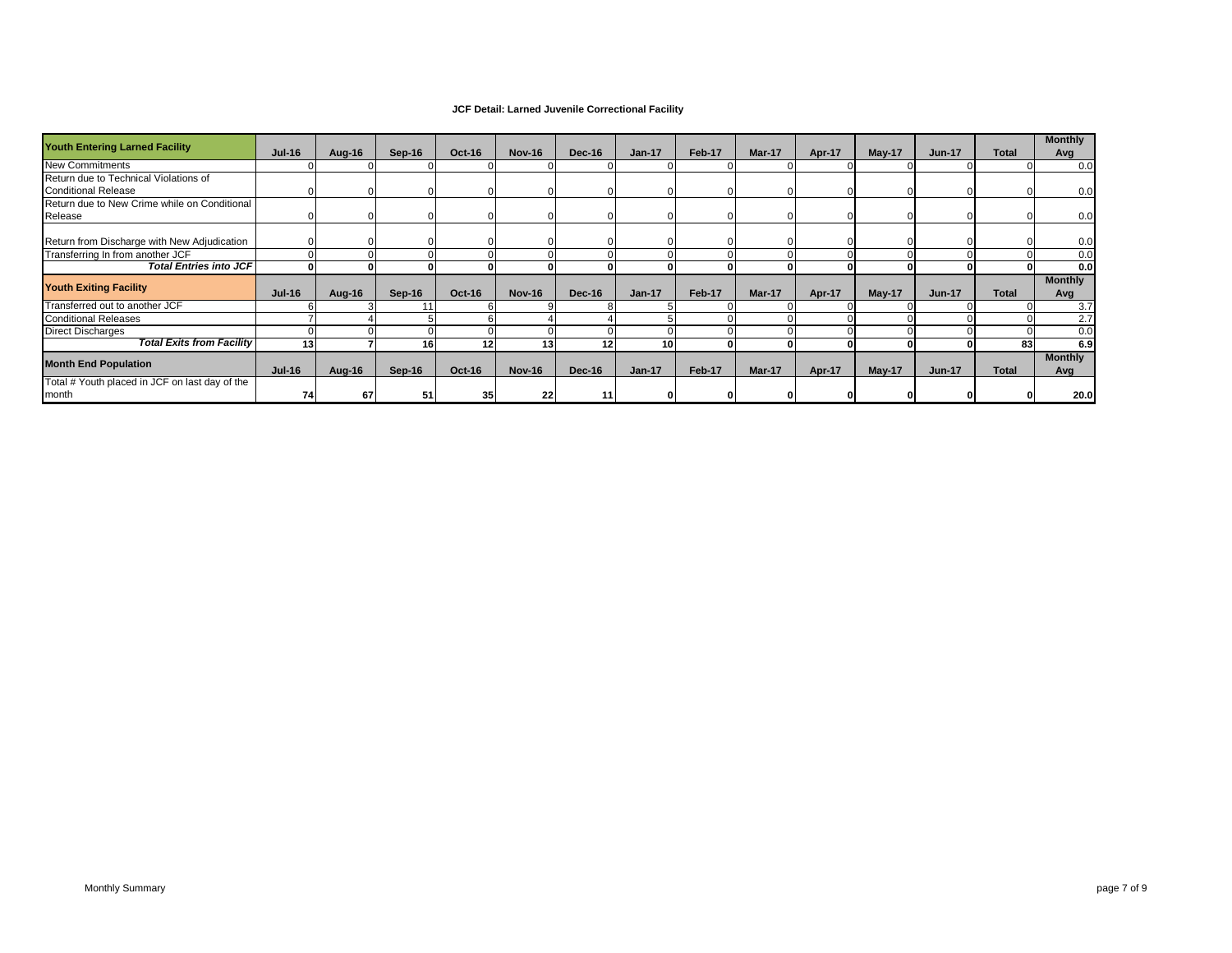## **JCF Detail: Larned Juvenile Correctional Facility**

| <b>Youth Entering Larned Facility</b>          | <b>Jul-16</b> | Aug-16 | Sep-16 | <b>Oct-16</b> | <b>Nov-16</b> | Dec-16        | $Jan-17$ | Feb-17 | Mar-17 | Apr-17        | $May-17$ | <b>Jun-17</b> | <b>Total</b> | <b>Monthly</b><br>Avg |
|------------------------------------------------|---------------|--------|--------|---------------|---------------|---------------|----------|--------|--------|---------------|----------|---------------|--------------|-----------------------|
| <b>New Commitments</b>                         |               |        |        |               |               |               |          |        |        |               |          |               |              | 0.0                   |
| Return due to Technical Violations of          |               |        |        |               |               |               |          |        |        |               |          |               |              |                       |
| <b>Conditional Release</b>                     |               |        |        |               |               |               |          |        |        |               |          |               |              | 0.0                   |
| Return due to New Crime while on Conditional   |               |        |        |               |               |               |          |        |        |               |          |               |              |                       |
| Release                                        |               |        |        |               |               |               |          |        |        |               |          |               |              | 0.0                   |
|                                                |               |        |        |               |               |               |          |        |        |               |          |               |              |                       |
| Return from Discharge with New Adjudication    |               |        |        |               |               |               |          |        |        |               |          |               |              | 0.0                   |
| Transferring In from another JCF               |               |        |        |               |               |               |          |        |        |               |          |               |              | 0.0                   |
| <b>Total Entries into JCF</b>                  |               |        |        |               |               |               |          |        |        |               |          |               |              | 0.0                   |
|                                                |               |        |        |               |               |               |          |        |        |               |          |               |              | <b>Monthly</b>        |
| <b>Youth Exiting Facility</b>                  | <b>Jul-16</b> | Aug-16 | Sep-16 | Oct-16        | <b>Nov-16</b> | <b>Dec-16</b> | $Jan-17$ | Feb-17 | Mar-17 | <b>Apr-17</b> | May-17   | <b>Jun-17</b> | <b>Total</b> | Avg                   |
| Transferred out to another JCF                 |               |        |        |               |               |               |          |        |        |               |          |               |              | 3.7                   |
| <b>Conditional Releases</b>                    |               |        |        |               |               |               |          |        |        |               |          |               |              | 2.7                   |
| <b>Direct Discharges</b>                       |               |        |        |               |               |               |          |        |        |               |          |               |              | 0.0                   |
| <b>Total Exits from Facility</b>               | 13            |        | 16     | 12            | 13            | 12            | 10       |        |        |               |          |               | 83           | 6.9                   |
| <b>Month End Population</b>                    | <b>Jul-16</b> | Aug-16 | Sep-16 | <b>Oct-16</b> | <b>Nov-16</b> | Dec-16        | $Jan-17$ | Feb-17 | Mar-17 | Apr-17        | $May-17$ | <b>Jun-17</b> | <b>Total</b> | <b>Monthly</b><br>Avg |
| Total # Youth placed in JCF on last day of the |               |        |        |               |               |               |          |        |        |               |          |               |              |                       |
| month                                          | 74            | 67     | 51     | 35            | 22            | 11            |          |        |        |               |          |               |              | 20.0                  |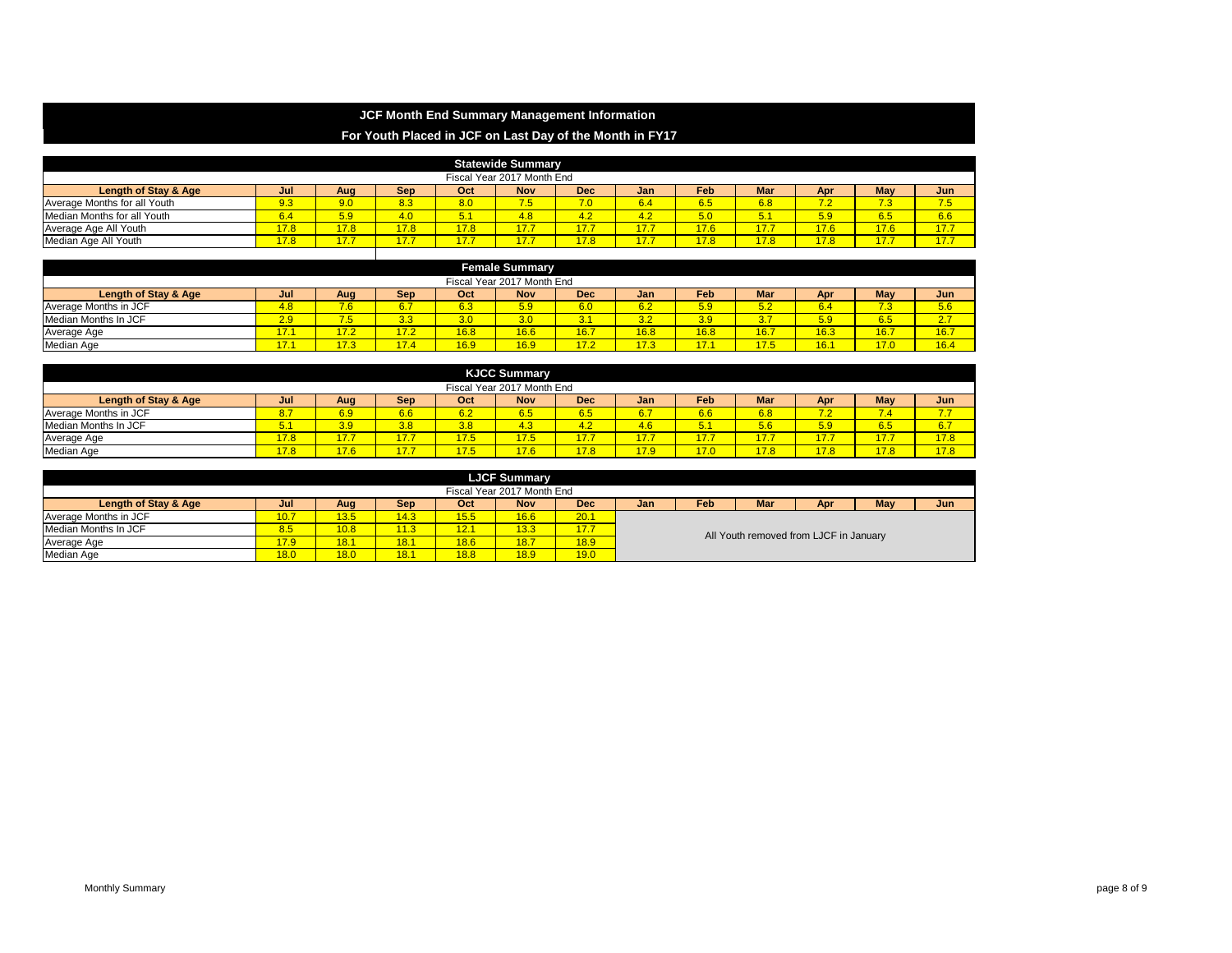# **JCF Month End Summary Management Information**

# **For Youth Placed in JCF on Last Day of the Month in FY17**

| <b>Statewide Summary</b>                                                                                        |      |      |      |           |      |      |      |      |      |         |      |      |  |  |
|-----------------------------------------------------------------------------------------------------------------|------|------|------|-----------|------|------|------|------|------|---------|------|------|--|--|
| Fiscal Year 2017 Month End                                                                                      |      |      |      |           |      |      |      |      |      |         |      |      |  |  |
| Feb<br>May<br>Mar<br>Length of Stay & Age<br>Dec<br><b>Nov</b><br>Oct<br>Sep<br>Jan<br>Jun<br>Jul<br>Aug<br>Apr |      |      |      |           |      |      |      |      |      |         |      |      |  |  |
| Average Months for all Youth                                                                                    | 9.3  | 9.0  | 8.3  | 8.0       | 7.5  | 7.0  | 6.4  | 6.5  | 6.8  | 72<br>. | 7.3  | 7.5  |  |  |
| Median Months for all Youth                                                                                     | 6.4  | 5.9  | 4.0  | 54<br>υ.ι | 4.8  | 4.2  | 4.2  | 5.0  | 5.1  | 5.9     | 6.5  | 6.6  |  |  |
| Average Age All Youth                                                                                           | 17.8 | 17.8 | 17.8 | 17.8      | 17.7 | 177  | 17.7 | 17.6 | 17.7 | 17.6    | 17.6 | 17.7 |  |  |
| Median Age All Youth                                                                                            | 17.8 | 17.7 |      | 17.7      |      | 17.8 | 17.7 | 17.8 | 17.8 | 17.8    | 17.7 | 17.7 |  |  |

|                                                                                                                        | <b>Female Summary</b>      |                      |                       |                  |      |             |      |      |      |      |      |               |  |  |
|------------------------------------------------------------------------------------------------------------------------|----------------------------|----------------------|-----------------------|------------------|------|-------------|------|------|------|------|------|---------------|--|--|
|                                                                                                                        | Fiscal Year 2017 Month End |                      |                       |                  |      |             |      |      |      |      |      |               |  |  |
| May<br>Feb<br>Mar<br>Length of Stay & Age<br><b>Nov</b><br><b>Dec</b><br>Sep<br>Oct<br>Jan<br>Jun<br>Apr<br>Aua<br>Jul |                            |                      |                       |                  |      |             |      |      |      |      |      |               |  |  |
| Average Months in JCF                                                                                                  | 4.8 <sub>l</sub>           | 7.6                  | 6.7                   | 6.3              | 5.9  | 6.0         | 6.2  | 5.9  | 5.2  | -43  | 7.3  | 5.6           |  |  |
| Median Months In JCF                                                                                                   | 2.9                        | <b>75</b><br>- 2     | 3.3                   | 3.0 <sub>1</sub> | 3.0  | 24          | 3.2  | 3.9  | 3.7  | 5.9  | 6.5  | 27<br><u></u> |  |  |
| Average Age                                                                                                            | E<br>.                     | 17 <sub>2</sub><br>. | 17.2                  | 16.8             | 16.6 | 16.7        | 16.8 | 16.8 | 16.7 | 16.3 | 16.7 | 16.7          |  |  |
| Median Age                                                                                                             | –<br>17.I                  | 17.3                 | $\overline{A}$<br>7.4 | 16.9             | 16.9 | 172<br>77.Z | 17.3 | 17.1 | 17.5 | 16.1 | 17.0 | 16.4          |  |  |

| <b>KJCC Summary</b>                                                                                                           |            |      |        |      |      |           |      |      |      |      |           |     |  |  |
|-------------------------------------------------------------------------------------------------------------------------------|------------|------|--------|------|------|-----------|------|------|------|------|-----------|-----|--|--|
| Fiscal Year 2017 Month End                                                                                                    |            |      |        |      |      |           |      |      |      |      |           |     |  |  |
| <b>Feb</b><br>May<br>Mar<br>Length of Stay & Age<br><b>Nov</b><br><b>Dec</b><br>Sep<br>Oct<br>Jun<br>Jan<br>Apr<br>Aug<br>Jul |            |      |        |      |      |           |      |      |      |      |           |     |  |  |
| Average Months in JCF                                                                                                         | 8.         | 6.9  | 6.6    | 6.2  | 6.5  | 6.5       | 6.7  | 6.6  | 6.8  | 7.2  | -<br>7.47 | 77  |  |  |
| Median Months In JCF                                                                                                          | $\sqrt{5}$ | 3.9  | 3.8    | 3.8  | 4.3  | 42<br>. . | 4.6  |      | 5.6  | 5.9  | 6.5       | 6.7 |  |  |
| Average Age                                                                                                                   | 17.8       | 17.7 |        | 17.5 | 17.5 | 17.7      | 17.7 | 7.7  | 17.7 | 17'  | 17.7      | 270 |  |  |
| Median Age                                                                                                                    | 17.8       | 17.6 | $\sim$ | 17.5 | 17.6 | 17.8      | 17.9 | 17.0 | 17.8 | 17.8 | 17.8      | 170 |  |  |

| <b>LJCF Summary</b>        |      |      |            |      |            |      |                                        |            |     |     |     |     |  |  |  |  |
|----------------------------|------|------|------------|------|------------|------|----------------------------------------|------------|-----|-----|-----|-----|--|--|--|--|
| Fiscal Year 2017 Month End |      |      |            |      |            |      |                                        |            |     |     |     |     |  |  |  |  |
| Length of Stay & Age       | Jul  | Aug  | <b>Sep</b> | Oct  | <b>Nov</b> | Dec  | Jan                                    | <b>Feb</b> | Mar | Apr | May | Jun |  |  |  |  |
| Average Months in JCF      | 10.7 | 13.5 | 14.3       | 15.5 | 16.6       | 20.1 |                                        |            |     |     |     |     |  |  |  |  |
| Median Months In JCF       | 8.5  | 10.8 | 11.3       | 12.1 | 13.3       | 17.7 |                                        |            |     |     |     |     |  |  |  |  |
| Average Age                | 17.9 | 18.1 | 18.1       | 18.6 | 18.7       | 18.9 | All Youth removed from LJCF in January |            |     |     |     |     |  |  |  |  |
| Median Age                 | 18.0 | 18.0 | 18.1       | 18.8 | 18.9       | 19.0 |                                        |            |     |     |     |     |  |  |  |  |